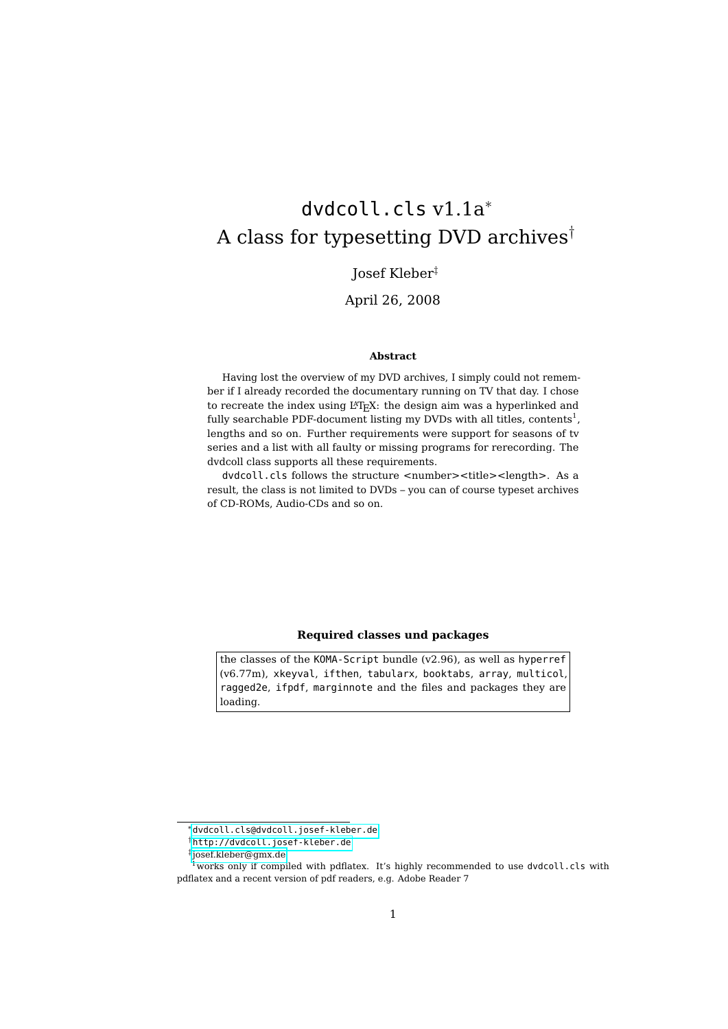# <span id="page-0-0"></span>dvdcoll.cls v1.1a<sup>∗</sup> A class for typesetting DVD archives†

# Josef Kleber‡

# April 26, 2008

#### **Abstract**

Having lost the overview of my DVD archives, I simply could not remember if I already recorded the documentary running on TV that day. I chose to recreate the index using L<sup>A</sup>T<sub>E</sub>X: the design aim was a hyperlinked and fully searchable PDF-document listing my DVDs with all titles, contents $^1$ , lengths and so on. Further requirements were support for seasons of tv series and a list with all faulty or missing programs for rerecording. The dvdcoll class supports all these requirements.

dvdcoll.cls follows the structure <number><title><length>. As a result, the class is not limited to DVDs – you can of course typeset archives of CD-ROMs, Audio-CDs and so on.

### **Required classes und packages**

the classes of the KOMA-Script bundle (v2.96), as well as hyperref (v6.77m), xkeyval, ifthen, tabularx, booktabs, array, multicol, ragged2e, ifpdf, marginnote and the files and packages they are loading.

<sup>∗</sup>[dvdcoll.cls@dvdcoll.josef-kleber.de](mailto:dvdcoll.cls@dvdcoll.josef-kleber.de)

<sup>†</sup><http://dvdcoll.josef-kleber.de>

<sup>‡</sup> [josef.kleber@gmx.de](mailto:josef.kleber@gmx.de)

<sup>&</sup>lt;sup>1</sup>works only if compiled with pdflatex. It's highly recommended to use dvdcoll.cls with pdflatex and a recent version of pdf readers, e.g. Adobe Reader 7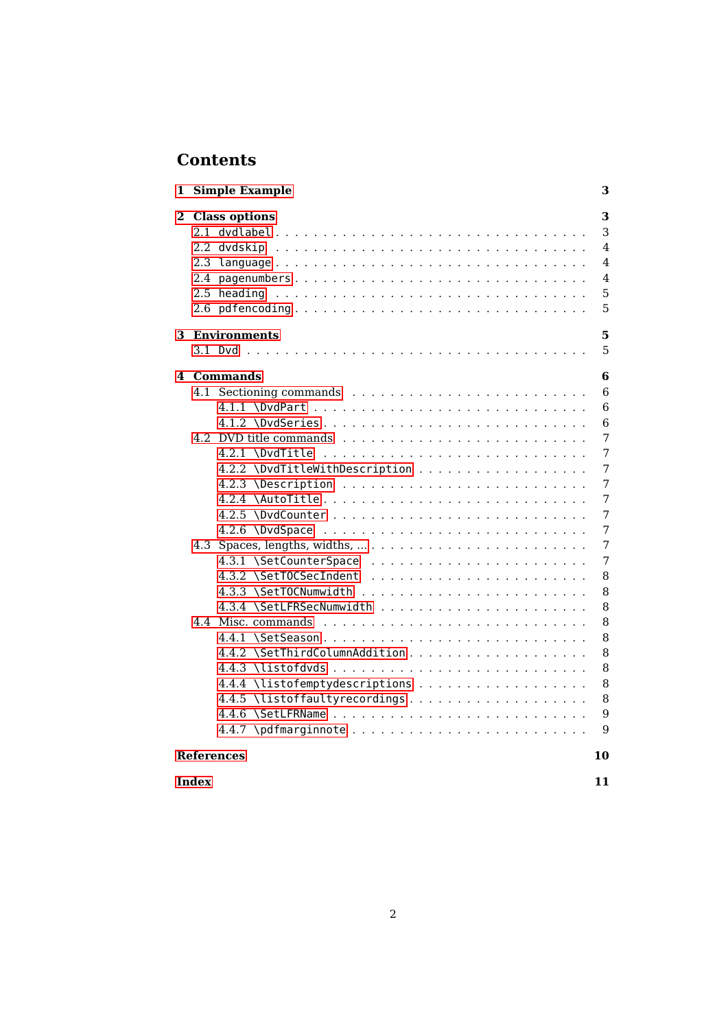# **Contents**

| 1 | Simple Example                                        | З                               |
|---|-------------------------------------------------------|---------------------------------|
|   | 2 Class options<br>2.4 pagenumbers<br>2.6 pdfencoding | 3<br>3<br>4<br>4<br>4<br>5<br>5 |
|   | <b>3</b> Environments                                 | 5                               |
|   |                                                       | 5                               |
|   | 4 Commands                                            | 6                               |
|   |                                                       | 6                               |
|   |                                                       | 6                               |
|   |                                                       | 6                               |
|   |                                                       | 7                               |
|   |                                                       | 7                               |
|   | 4.2.2 \DvdTitleWithDescription                        | 7                               |
|   |                                                       | 7                               |
|   | 4.2.4 \AutoTitle                                      | 7                               |
|   |                                                       | 7                               |
|   |                                                       | 7                               |
|   |                                                       | 7                               |
|   |                                                       | 7                               |
|   |                                                       | 8                               |
|   |                                                       | 8                               |
|   |                                                       | 8                               |
|   |                                                       | 8<br>8                          |
|   |                                                       | 8                               |
|   |                                                       | 8                               |
|   |                                                       | 8                               |
|   |                                                       | 8                               |
|   |                                                       | 9                               |
|   |                                                       | 9                               |
|   |                                                       |                                 |
|   | References                                            | 10                              |

**[Index](#page-10-0) 11**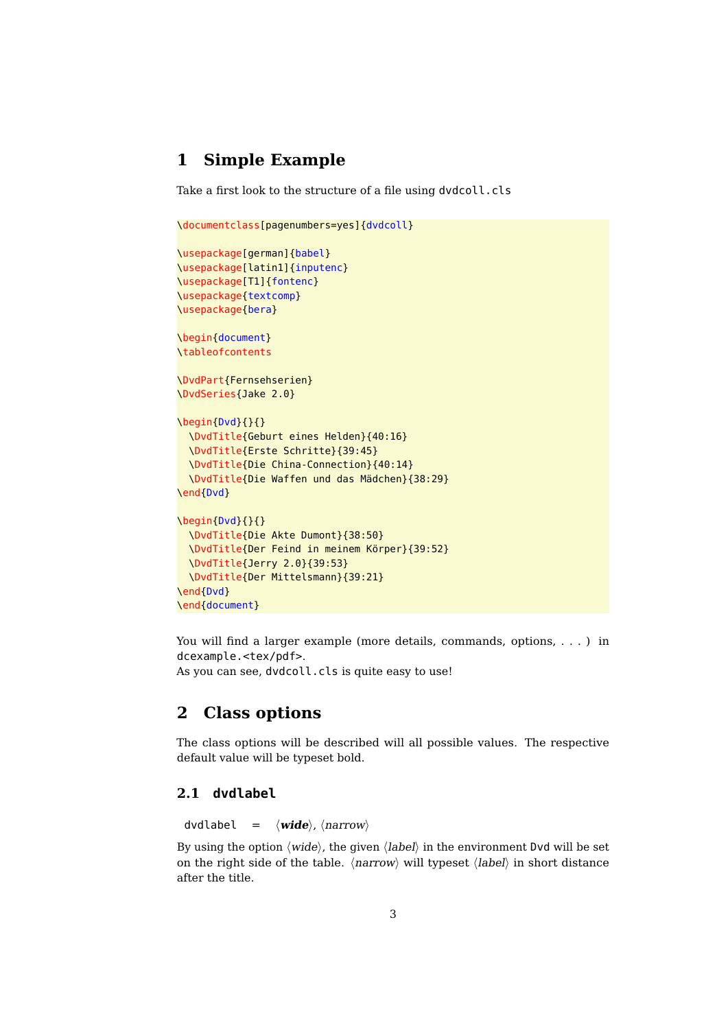# <span id="page-2-3"></span><span id="page-2-0"></span>**1 Simple Example**

Take a first look to the structure of a file using dvdcoll.cls

```
\documentclass[pagenumbers=yes]{dvdcoll}
\usepackage[german]{babel}
\usepackage[latin1]{inputenc}
\usepackage[T1]{fontenc}
\usepackage{textcomp}
\usepackage{bera}
\begin{document}
\tableofcontents
\DvdPart{Fernsehserien}
\DvdSeries{Jake 2.0}
\begin{Dvd}{}{}
 \DvdTitle{Geburt eines Helden}{40:16}
 \DvdTitle{Erste Schritte}{39:45}
 \DvdTitle{Die China-Connection}{40:14}
 \DvdTitle{Die Waffen und das Mädchen}{38:29}
\end{Dvd}
\begin{Dvd}{}{}
 \DvdTitle{Die Akte Dumont}{38:50}
 \DvdTitle{Der Feind in meinem Körper}{39:52}
 \DvdTitle{Jerry 2.0}{39:53}
 \DvdTitle{Der Mittelsmann}{39:21}
\end{Dvd}
\end{document}
```
You will find a larger example (more details, commands, options, ...) in dcexample.<tex/pdf>.

As you can see, dvdcoll.cls is quite easy to use!

# <span id="page-2-1"></span>**2 Class options**

The class options will be described will all possible values. The respective default value will be typeset bold.

# <span id="page-2-2"></span>**2.1 dvdlabel**

```
dvdlabel = \langlewide\rangle, \langlenarrow\rangle
```
By using the option  $\langle wide \rangle$ , the given  $\langle label \rangle$  in the environment Dvd will be set on the right side of the table.  $\langle$  narrow $\rangle$  will typeset  $\langle$  label $\rangle$  in short distance after the title.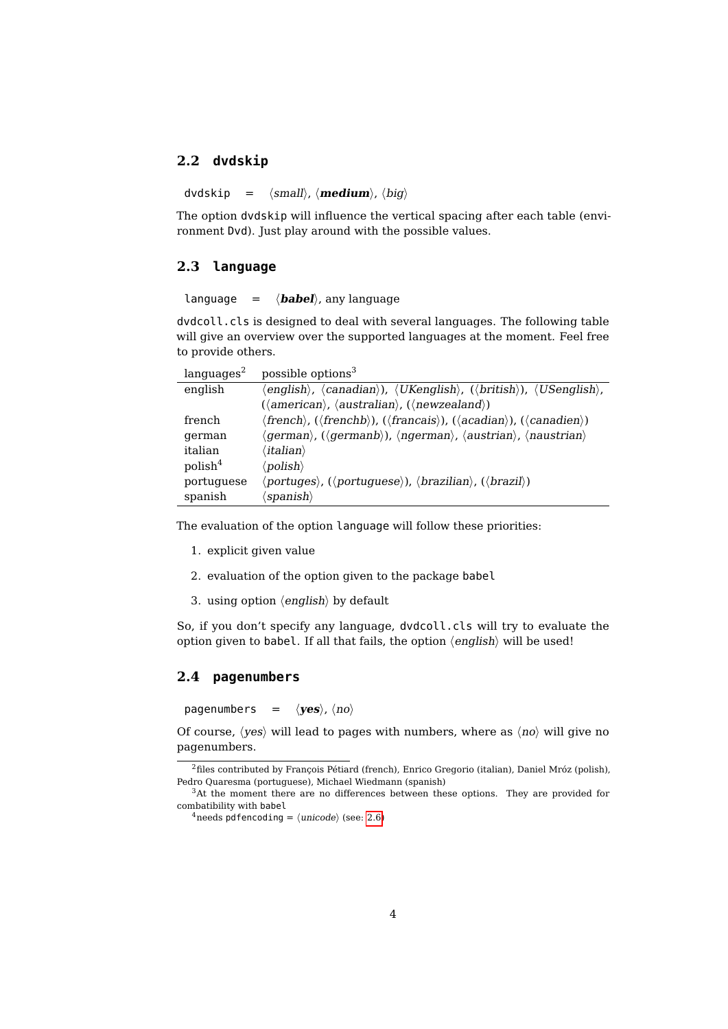## <span id="page-3-3"></span><span id="page-3-0"></span>**2.2 dvdskip**

 $d\nu dskip = \langle small \rangle, \langle medium \rangle, \langle big \rangle$ 

The option dvdskip will influence the vertical spacing after each table (environment Dvd). Just play around with the possible values.

## <span id="page-3-1"></span>**2.3 language**

 $\lambda$  language =  $\langle$ **babel** $\rangle$ , any language

dvdcoll.cls is designed to deal with several languages. The following table will give an overview over the supported languages at the moment. Feel free to provide others.

| languages <sup>2</sup> | possible options <sup>3</sup>                                                                                                                                                     |
|------------------------|-----------------------------------------------------------------------------------------------------------------------------------------------------------------------------------|
| english                | $\langle$ english $\rangle$ , $\langle$ canadian $\rangle$ ), $\langle$ UKenglish $\rangle$ , $(\langle$ british $\rangle$ ), $\langle$ USenglish $\rangle$ ,                     |
|                        | $(\langle American \rangle, \langle australian \rangle, (\langle newzealand \rangle))$                                                                                            |
| french                 | $\langle$ french $\rangle$ , ( $\langle$ frenchb $\rangle$ ), ( $\langle$ francais $\rangle$ ), ( $\langle$ acadian $\rangle$ ), ( $\langle$ canadien $\rangle$ )                 |
| german                 | $\langle \text{german} \rangle$ , ( $\langle \text{germanb} \rangle$ ), $\langle \text{ngerman} \rangle$ , $\langle \text{austrian} \rangle$ , $\langle \text{naustrian} \rangle$ |
| italian                | $\langle$ italian $\rangle$                                                                                                                                                       |
| $\text{polish}^4$      | $\langle$ polish $\rangle$                                                                                                                                                        |
| portuguese             | $\langle portuges \rangle$ , $(\langle portuguese \rangle)$ , $\langle brazilian \rangle$ , $(\langle brazil \rangle)$                                                            |
| spanish                | $\langle$ spanish $\rangle$                                                                                                                                                       |

The evaluation of the option language will follow these priorities:

- 1. explicit given value
- 2. evaluation of the option given to the package babel
- 3. using option  $\langle \text{english} \rangle$  by default

So, if you don't specify any language, dvdcoll.cls will try to evaluate the option given to babel. If all that fails, the option  $\langle \text{english} \rangle$  will be used!

## <span id="page-3-2"></span>**2.4 pagenumbers**

pagenumbers =  $\langle \mathbf{yes} \rangle$ ,  $\langle \mathbf{no} \rangle$ 

Of course,  $\langle yes \rangle$  will lead to pages with numbers, where as  $\langle no \rangle$  will give no pagenumbers.

<sup>2</sup>files contributed by François Pétiard (french), Enrico Gregorio (italian), Daniel Mróz (polish), Pedro Quaresma (portuguese), Michael Wiedmann (spanish)

<sup>3</sup>At the moment there are no differences between these options. They are provided for combatibility with babel

 $4$ needs pdfencoding =  $\langle$ unicode $\rangle$  (see: [2.6\)](#page-4-1)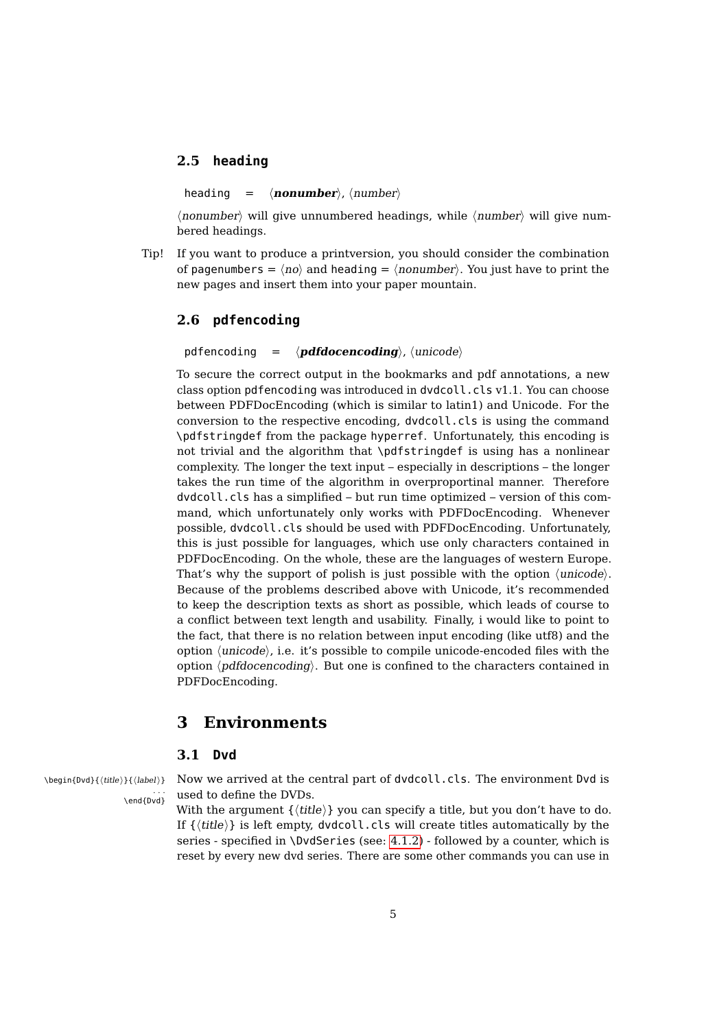## <span id="page-4-4"></span><span id="page-4-0"></span>**2.5 heading**

heading =  $\langle \textbf{nonumber} \rangle$ ,  $\langle \text{number} \rangle$ 

 $\langle$  nonumber $\rangle$  will give unnumbered headings, while  $\langle$  number $\rangle$  will give numbered headings.

Tip! If you want to produce a printversion, you should consider the combination of pagenumbers =  $\langle no \rangle$  and heading =  $\langle nonumber \rangle$ . You just have to print the new pages and insert them into your paper mountain.

# <span id="page-4-1"></span>**2.6 pdfencoding**

pdfencoding  $= \langle \mathbf{pdfdocencoding} \rangle$ ,  $\langle \mathbf{unicode} \rangle$ 

To secure the correct output in the bookmarks and pdf annotations, a new class option pdfencoding was introduced in dvdcoll.cls v1.1. You can choose between PDFDocEncoding (which is similar to latin1) and Unicode. For the conversion to the respective encoding, dvdcoll.cls is using the command \pdfstringdef from the package hyperref. Unfortunately, this encoding is not trivial and the algorithm that \pdfstringdef is using has a nonlinear complexity. The longer the text input – especially in descriptions – the longer takes the run time of the algorithm in overproportinal manner. Therefore dvdcoll.cls has a simplified – but run time optimized – version of this command, which unfortunately only works with PDFDocEncoding. Whenever possible, dvdcoll.cls should be used with PDFDocEncoding. Unfortunately, this is just possible for languages, which use only characters contained in PDFDocEncoding. On the whole, these are the languages of western Europe. That's why the support of polish is just possible with the option  $\langle \text{unicode} \rangle$ . Because of the problems described above with Unicode, it's recommended to keep the description texts as short as possible, which leads of course to a conflict between text length and usability. Finally, i would like to point to the fact, that there is no relation between input encoding (like utf8) and the option  $\langle$ *unicode* $\rangle$ , i.e. it's possible to compile unicode-encoded files with the option  $\langle pdfdocencoding \rangle$ . But one is confined to the characters contained in PDFDocEncoding.

# <span id="page-4-2"></span>**3 Environments**

# <span id="page-4-3"></span>**3.1 Dvd**

\end{Dyd}

 $\begin{bmatrix} \Phi_{\text{sub}}(\theta) & \Phi_{\text{sub}} \end{bmatrix}$  Now we arrived at the central part of dvdcoll.cls. The environment Dvd is used to define the DVDs.

> With the argument  $\{ \langle title \rangle \}$  you can specify a title, but you don't have to do. If  $\{\langle title \rangle\}$  is left empty, dvdcoll.cls will create titles automatically by the series - specified in \DvdSeries (see: [4.1.2\)](#page-5-3) - followed by a counter, which is reset by every new dvd series. There are some other commands you can use in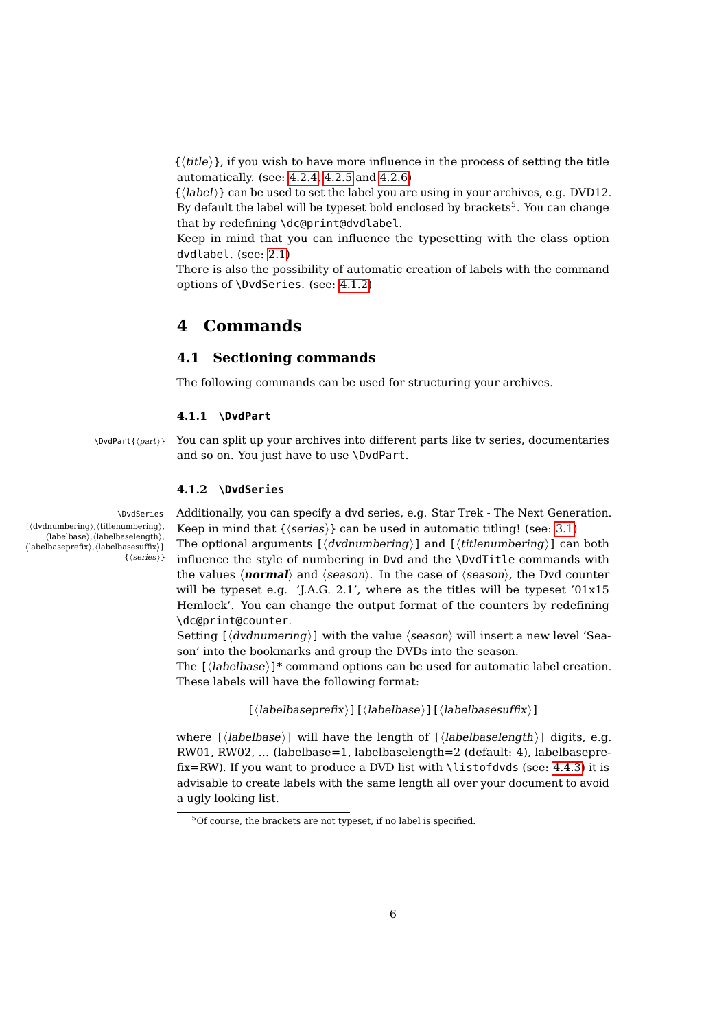<span id="page-5-4"></span> $\{\langle title \rangle\}$ , if you wish to have more influence in the process of setting the title automatically. (see: [4.2.4,](#page-6-4) [4.2.5](#page-6-5) and [4.2.6\)](#page-6-6)

 $\{\langle label \rangle\}$  can be used to set the label you are using in your archives, e.g. DVD12. By default the label will be typeset bold enclosed by brackets<sup>5</sup>. You can change that by redefining \dc@print@dvdlabel.

Keep in mind that you can influence the typesetting with the class option dvdlabel. (see: [2.1\)](#page-2-2)

There is also the possibility of automatic creation of labels with the command options of \DvdSeries. (see: [4.1.2\)](#page-5-3)

# <span id="page-5-0"></span>**4 Commands**

# <span id="page-5-1"></span>**4.1 Sectioning commands**

The following commands can be used for structuring your archives.

#### <span id="page-5-2"></span>**4.1.1 \DvdPart**

\DvdPart{hparti} You can split up your archives into different parts like tv series, documentaries and so on. You just have to use \DvdPart.

### <span id="page-5-3"></span>**4.1.2 \DvdSeries**

\DvdSeries Additionally, you can specify a dvd series, e.g. Star Trek - The Next Generation. Keep in mind that  $\{\langle series \rangle\}$  can be used in automatic titling! (see: [3.1\)](#page-4-3)

> The optional arguments  $\left[ \langle \text{d}v \text{d}u \text{m} \text{d}v \text{d}u \rangle \right]$  and  $\left[ \langle \text{t}t \text{d}u \text{m} \text{d}v \text{d}u \text{d}u \rangle \right]$  can both influence the style of numbering in Dvd and the \DvdTitle commands with the values  $\langle$ **normal** $\rangle$  and  $\langle$ *season* $\rangle$ . In the case of  $\langle$ *season* $\rangle$ , the Dvd counter will be typeset e.g. 'J.A.G. 2.1', where as the titles will be typeset '01x15 Hemlock'. You can change the output format of the counters by redefining \dc@print@counter.

> Setting  $\left[\langle dvdnumering \rangle\right]$  with the value  $\langle season \rangle$  will insert a new level 'Season' into the bookmarks and group the DVDs into the season.

> The  $[\langle \text{labelbase} \rangle]^*$  command options can be used for automatic label creation. These labels will have the following format:

> > $\left[\langle\text{labelbaseprefix}\rangle\right]\left[\langle\text{labelbaseshiftx}\rangle\right]$

where [ $\langle$ labelbase)] will have the length of [ $\langle$ labelbaselength $\rangle$ ] digits, e.g. RW01, RW02, ... (labelbase=1, labelbaselength=2 (default: 4), labelbaseprefix=RW). If you want to produce a DVD list with \listofdvds (see: [4.4.3\)](#page-7-6) it is advisable to create labels with the same length all over your document to avoid a ugly looking list.

 $[\langle \mathrm{dvdnumbering}\rangle,\langle \mathrm{titlenumbering}\rangle,$  $\langle\text{labelbase}\rangle,\langle\text{labelbase}\rangle$  $\langle\text{labelbaseprefix}\rangle,\langle\text{labelbasesuffix}\rangle]$  $\{ \langle series \rangle \}$ 

 $5$ Of course, the brackets are not typeset, if no label is specified.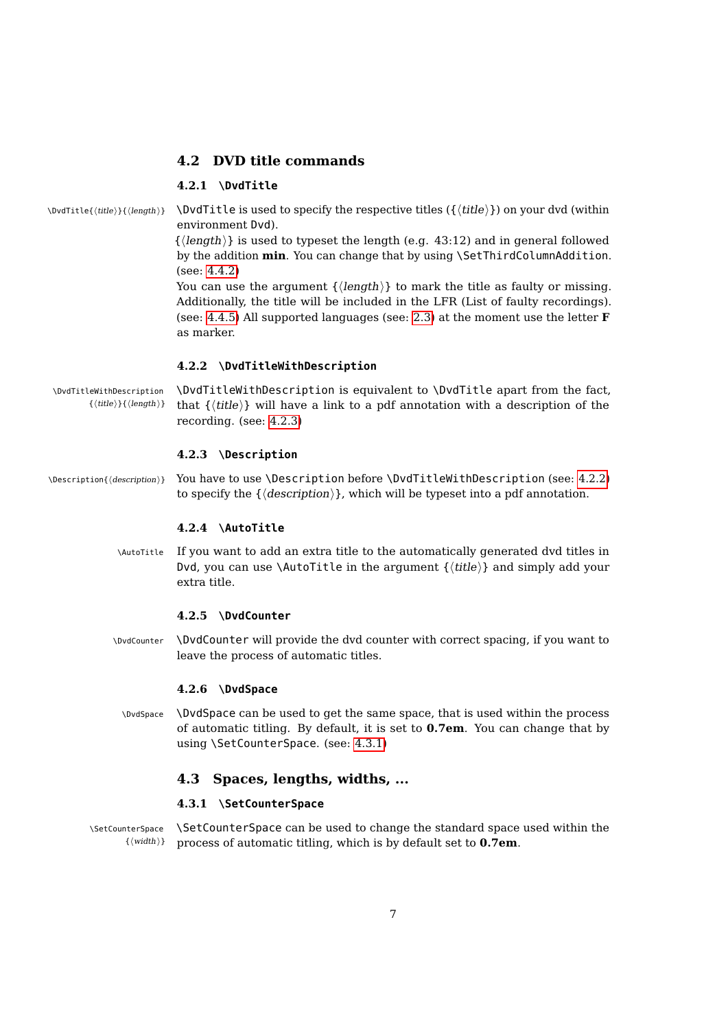## <span id="page-6-9"></span><span id="page-6-0"></span>**4.2 DVD title commands**

#### <span id="page-6-1"></span>**4.2.1 \DvdTitle**

 $\Delta$ ) \DvdTitle{(title)}{(length)}  $\Delta$  \DvdTitle is used to specify the respective titles ({\title}}) on your dvd (within environment Dvd).

> $\{\langle length \rangle\}$  is used to typeset the length (e.g. 43:12) and in general followed by the addition **min**. You can change that by using \SetThirdColumnAddition. (see: [4.4.2\)](#page-7-5)

> You can use the argument  $\{\langle length \rangle\}$  to mark the title as faulty or missing. Additionally, the title will be included in the LFR (List of faulty recordings). (see: [4.4.5\)](#page-7-8) All supported languages (see: [2.3\)](#page-3-1) at the moment use the letter **F** as marker.

#### <span id="page-6-2"></span>**4.2.2 \DvdTitleWithDescription**

\DvdTitleWithDescription \DvdTitleWithDescription is equivalent to \DvdTitle apart from the fact,  ${\{title\}}$  that  ${\{title\}}$  will have a link to a pdf annotation with a description of the recording. (see: [4.2.3\)](#page-6-3)

#### <span id="page-6-3"></span>**4.2.3 \Description**

\Description{(description)} You have to use \Description before \DvdTitleWithDescription (see: [4.2.2\)](#page-6-2) to specify the  $\{\langle description \rangle\}$ , which will be typeset into a pdf annotation.

## <span id="page-6-4"></span>**4.2.4 \AutoTitle**

\AutoTitle If you want to add an extra title to the automatically generated dvd titles in Dvd, you can use \AutoTitle in the argument  $\{\langle title \rangle\}$  and simply add your extra title.

## <span id="page-6-5"></span>**4.2.5 \DvdCounter**

\DvdCounter \DvdCounter will provide the dvd counter with correct spacing, if you want to leave the process of automatic titles.

#### <span id="page-6-6"></span>**4.2.6 \DvdSpace**

\DvdSpace \DvdSpace can be used to get the same space, that is used within the process of automatic titling. By default, it is set to **0.7em**. You can change that by using \SetCounterSpace. (see: [4.3.1\)](#page-6-8)

## <span id="page-6-7"></span>**4.3 Spaces, lengths, widths, ...**

#### <span id="page-6-8"></span>**4.3.1 \SetCounterSpace**

\SetCounterSpace \SetCounterSpace can be used to change the standard space used within the  $\{\langle width \rangle\}$  process of automatic titling, which is by default set to **0.7em**.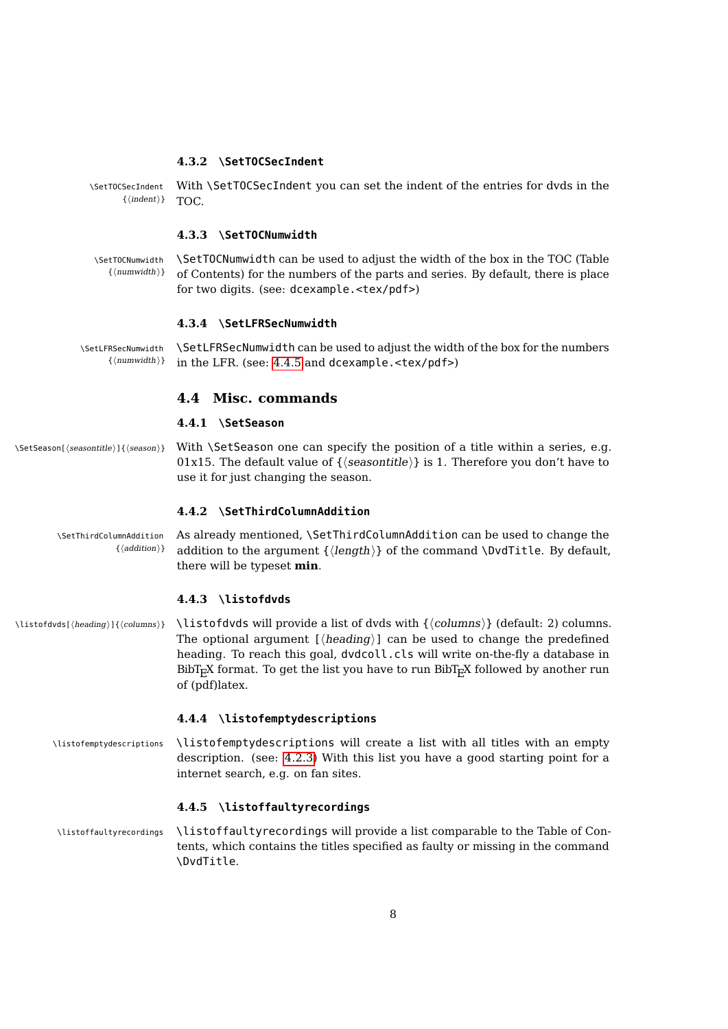#### <span id="page-7-9"></span><span id="page-7-0"></span>**4.3.2 \SetTOCSecIndent**

\SetTOCSecIndent With \SetTOCSecIndent you can set the indent of the entries for dvds in the  $\{\langle \text{indent}\rangle\}$  TOC.

#### <span id="page-7-1"></span>**4.3.3 \SetTOCNumwidth**

\SetTOCNumwidth \SetTOCNumwidth can be used to adjust the width of the box in the TOC (Table  ${\{numwidth}\}$  of Contents) for the numbers of the parts and series. By default, there is place for two digits. (see: dcexample.<tex/pdf>)

#### <span id="page-7-2"></span>**4.3.4 \SetLFRSecNumwidth**

\SetLFRSecNumwidth \SetLFRSecNumwidth can be used to adjust the width of the box for the numbers  ${\{numwidth\}}$  in the LFR. (see: [4.4.5](#page-7-8) and dcexample.<tex/pdf>)

### <span id="page-7-3"></span>**4.4 Misc. commands**

#### <span id="page-7-4"></span>**4.4.1 \SetSeason**

\SetSeason[\seasontitle\]{\season}} With \SetSeason one can specify the position of a title within a series, e.g. 01x15. The default value of  $\{$  (seasontitle) is 1. Therefore you don't have to use it for just changing the season.

#### <span id="page-7-5"></span>**4.4.2 \SetThirdColumnAddition**

\SetThirdColumnAddition As already mentioned, \SetThirdColumnAddition can be used to change the  ${\lbrace} (addition) \rbrace$  addition to the argument  ${\lbrace} \langle length \rangle$  of the command \DvdTitle. By default, there will be typeset **min**.

#### <span id="page-7-6"></span>**4.4.3 \listofdvds**

 $\left\{h_{\text{reding}}\right\} \left( \left\langle \text{obs} \right| \right) \right\}$  (default: 2) columns. The optional argument  $[\langle heading \rangle]$  can be used to change the predefined heading. To reach this goal, dvdcoll.cls will write on-the-fly a database in  $BibT_FX$  format. To get the list you have to run  $BibT_FX$  followed by another run of (pdf)latex.

#### <span id="page-7-7"></span>**4.4.4 \listofemptydescriptions**

\listofemptydescriptions \listofemptydescriptions will create a list with all titles with an empty description. (see: [4.2.3\)](#page-6-3) With this list you have a good starting point for a internet search, e.g. on fan sites.

#### <span id="page-7-8"></span>**4.4.5 \listoffaultyrecordings**

\listoffaultyrecordings \listoffaultyrecordings will provide a list comparable to the Table of Contents, which contains the titles specified as faulty or missing in the command \DvdTitle.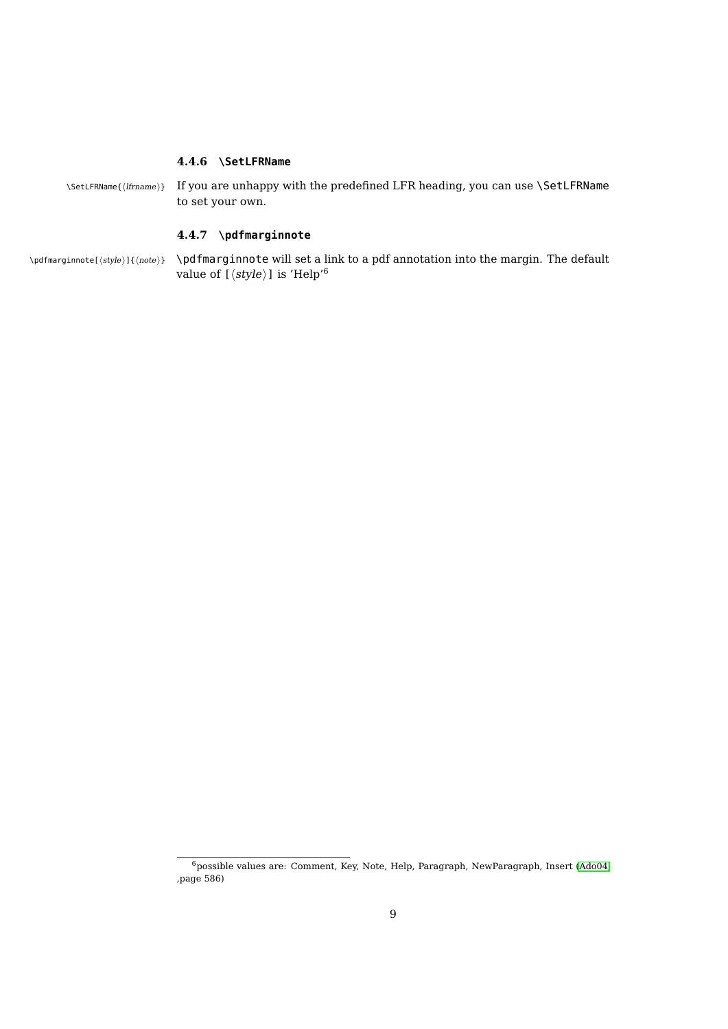#### <span id="page-8-2"></span><span id="page-8-0"></span>**4.4.6 \SetLFRName**

\SetLFRName{\lfrname}} If you are unhappy with the predefined LFR heading, you can use \SetLFRName to set your own.

# <span id="page-8-1"></span>**4.4.7 \pdfmarginnote**

 $\theta$  \pdfmarginnote[\style\]{\note}} \pdfmarginnote will set a link to a pdf annotation into the margin. The default value of  $[\langle style \rangle]$  is 'Help'<sup>6</sup>

 $\overline{6}$ possible values are: Comment, Key, Note, Help, Paragraph, NewParagraph, Insert [\(Ado04,](#page-9-0) ,page 586)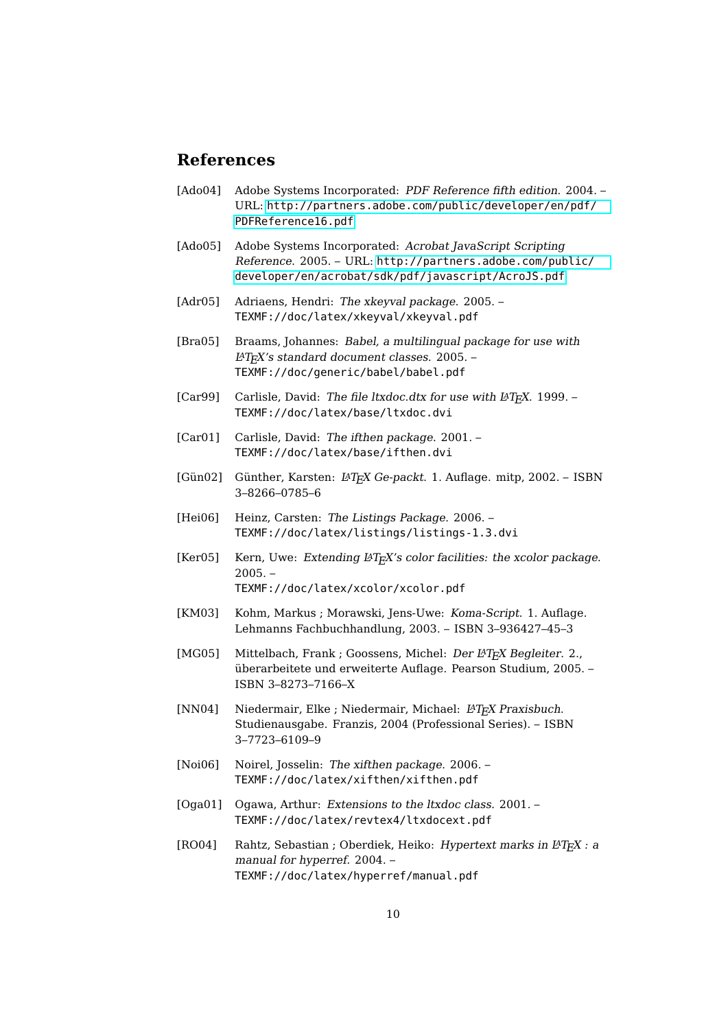# **References**

- <span id="page-9-0"></span>[Ado04] Adobe Systems Incorporated: PDF Reference fifth edition. 2004. – URL: [http://partners.adobe.com/public/developer/en/pdf/](http://partners.adobe.com/public/developer/en/pdf/PDFReference16.pdf) [PDFReference16.pdf](http://partners.adobe.com/public/developer/en/pdf/PDFReference16.pdf)
- [Ado05] Adobe Systems Incorporated: Acrobat JavaScript Scripting Reference. 2005. – URL: [http://partners.adobe.com/public/](http://partners.adobe.com/public/developer/en/acrobat/sdk/pdf/javascript/AcroJS.pdf) [developer/en/acrobat/sdk/pdf/javascript/AcroJS.pdf](http://partners.adobe.com/public/developer/en/acrobat/sdk/pdf/javascript/AcroJS.pdf)
- [Adr05] Adriaens, Hendri: The xkeyval package. 2005. TEXMF://doc/latex/xkeyval/xkeyval.pdf
- [Bra05] Braams, Johannes: Babel, a multilingual package for use with LATEX's standard document classes. 2005. – TEXMF://doc/generic/babel/babel.pdf
- [Car99] Carlisle, David: The file ltxdoc.dtx for use with  $\mu$ T<sub>E</sub>X. 1999. TEXMF://doc/latex/base/ltxdoc.dvi
- [Car01] Carlisle, David: The ifthen package. 2001. TEXMF://doc/latex/base/ifthen.dvi
- [Gün02] Günther, Karsten: L<sup>A</sup>T<sub>F</sub>X Ge-packt. 1. Auflage. mitp, 2002. ISBN 3–8266–0785–6
- [Hei06] Heinz, Carsten: The Listings Package. 2006. TEXMF://doc/latex/listings/listings-1.3.dvi
- [Ker05] Kern, Uwe: Extending  $\cancel{B}T_FX's$  color facilities: the xcolor package.  $2005. -$ TEXMF://doc/latex/xcolor/xcolor.pdf
- [KM03] Kohm, Markus ; Morawski, Jens-Uwe: Koma-Script. 1. Auflage. Lehmanns Fachbuchhandlung, 2003. – ISBN 3–936427–45–3
- [MG05] Mittelbach, Frank ; Goossens, Michel: Der LATFX Begleiter. 2., überarbeitete und erweiterte Auflage. Pearson Studium, 2005. – ISBN 3–8273–7166–X
- [NN04] Niedermair, Elke ; Niedermair, Michael: LAT<sub>E</sub>X Praxisbuch. Studienausgabe. Franzis, 2004 (Professional Series). – ISBN 3–7723–6109–9
- [Noi06] Noirel, Josselin: The xifthen package. 2006. TEXMF://doc/latex/xifthen/xifthen.pdf
- [Oga01] Ogawa, Arthur: Extensions to the ltxdoc class. 2001. TEXMF://doc/latex/revtex4/ltxdocext.pdf
- [RO04] Rahtz, Sebastian ; Oberdiek, Heiko: Hypertext marks in L<sup>AT</sup>EX : a manual for hyperref. 2004. – TEXMF://doc/latex/hyperref/manual.pdf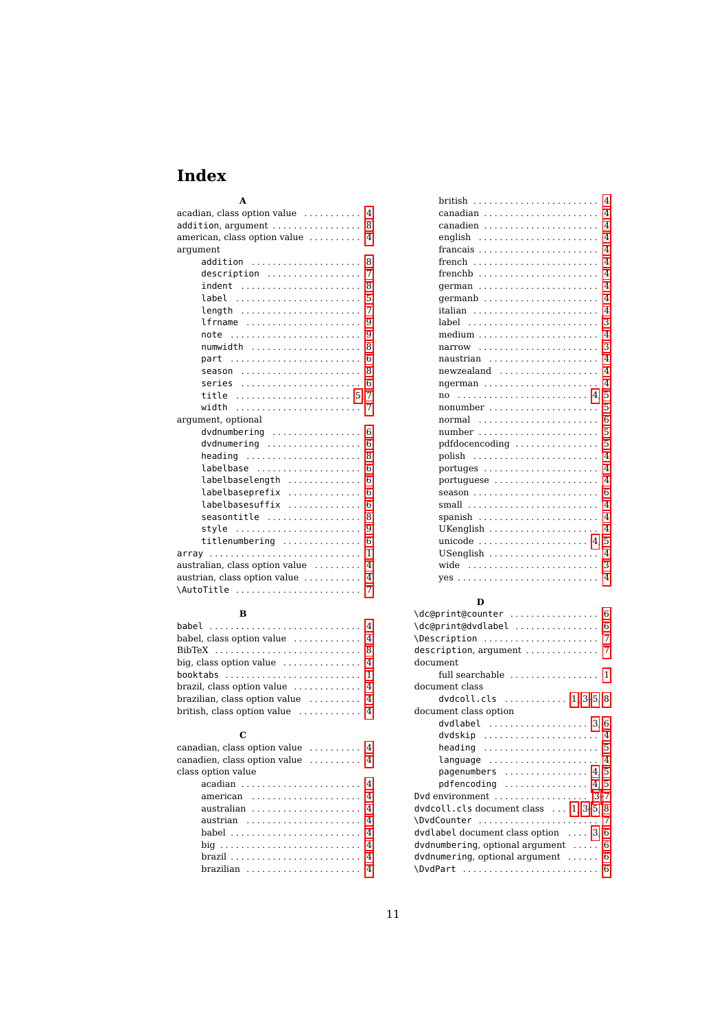# **Index**

<span id="page-10-0"></span>

| $\overline{4}$                                           |
|----------------------------------------------------------|
| $acadian, class option value \ldots \ldots$              |
| 8<br>$addition, argument \ldots \ldots \ldots \ldots$    |
| american, class option value  4                          |
| argument                                                 |
| 8<br>addition                                            |
| 7<br>$description$                                       |
| 8<br>indent                                              |
| 5<br>label                                               |
| 7<br>length                                              |
| 9<br>lfrname                                             |
| 9<br>note                                                |
| 8<br>numwidth                                            |
| 6                                                        |
| 8<br>season                                              |
| 6<br>series                                              |
| 7<br>title                                               |
| width<br>7                                               |
| argument, optional                                       |
| dvdnumbering<br>6                                        |
| 6<br>$d$ vdnumering                                      |
| 8<br>heading $\ldots \ldots \ldots \ldots \ldots \ldots$ |
| 6<br>labelbase                                           |
| 6<br>labelbaselength                                     |
| 6<br>labelbaseprefix<br>.                                |
| labelbasesuffix<br>6                                     |
| 8<br>seasontitle                                         |
| 9<br>style $\ldots \ldots \ldots \ldots \ldots \ldots$   |
| 6<br>$title numbering$                                   |
| $\mathbf{1}$<br>array                                    |
| australian, class option value<br>$\overline{4}$         |
| austrian, class option value<br>4                        |
| \AutoTitle<br>7                                          |

# **B**

| babel  4                                              |  |
|-------------------------------------------------------|--|
| babel, class option value $\dots\dots\dots\dots$ 4    |  |
|                                                       |  |
| big, class option value $\dots\dots\dots\dots\dots$ 4 |  |
| booktabs  1                                           |  |
|                                                       |  |
| brazilian, class option value $\dots\dots\dots$ 4     |  |
| british, class option value $\dots\dots\dots\dots$ 4  |  |

# **C**

| canadian, class option value $\,\,\ldots\,\ldots\,\,\ldots\,\,4$ |  |
|------------------------------------------------------------------|--|
| canadien, class option value  4                                  |  |
| class option value                                               |  |
|                                                                  |  |
| american $4$                                                     |  |
|                                                                  |  |
|                                                                  |  |
| babel $4$                                                        |  |
|                                                                  |  |
|                                                                  |  |
| brazilian  4                                                     |  |
|                                                                  |  |

|                                                                 | 4                            |
|-----------------------------------------------------------------|------------------------------|
|                                                                 |                              |
| canadian                                                        | $\overline{4}$               |
| canadien                                                        | $\overline{4}$               |
|                                                                 | $\overline{4}$               |
|                                                                 | $\overline{4}$               |
| french                                                          | $\overline{4}$               |
| ${\rm {\it frenchb}}$                                           | $\overline{4}$               |
| german                                                          | $\overline{4}$               |
| germanb                                                         | $\overline{4}$               |
|                                                                 | $\overline{4}$               |
| label                                                           | 3                            |
| medium                                                          | $\overline{4}$               |
| narrow                                                          | 3                            |
| naustrian                                                       | $\overline{4}$               |
| newzealand                                                      | $\overline{4}$               |
| ngerman                                                         | $\overline{4}$               |
| $no \dots \dots \dots \dots \dots \dots \dots \dots \dots \ 4,$ | 5                            |
|                                                                 | 5                            |
| normal                                                          | 6                            |
| number                                                          | 5                            |
|                                                                 |                              |
|                                                                 | 5                            |
| pdfdocencoding                                                  | $\overline{\mathbf{A}}$      |
|                                                                 | $\overline{4}$               |
| $portuges \ldots \ldots \ldots \ldots \ldots \ldots$            | $\overline{4}$               |
|                                                                 | 6                            |
| season                                                          | $\overline{\mathbf{A}}$      |
| small                                                           | $\overline{4}$               |
| spanish                                                         | $\overline{4}$               |
| UKenglish                                                       |                              |
| unicode $\dots \dots \dots \dots \dots \dots \dots$ 4,          | 5                            |
| USenglish                                                       | 4                            |
| wide                                                            | 3<br>$\overline{\mathbf{4}}$ |

# **D**

| \dc@print@counter  6                                     |
|----------------------------------------------------------|
| \dc@print@dvdlabel  6                                    |
| \Description  7                                          |
| description, argument  7                                 |
| document                                                 |
| full searchable $\dots\dots\dots\dots\dots\dots$ 1       |
| document class                                           |
| dvdcoll.cls $1, 3-5, 8$                                  |
| document class option                                    |
| $d$ vdlabel $\ldots \ldots \ldots \ldots \ldots 3.6$     |
| dvdskip $4$                                              |
| heading $\ldots \ldots \ldots \ldots \ldots \ldots 5$    |
| language $\dots\dots\dots\dots\dots\dots\dots\ 4$        |
| pagenumbers $\ldots \ldots \ldots \ldots 4, 5$           |
| $pdfencoding$ $4, 5$                                     |
| Dvd environment $\ldots \ldots \ldots \ldots \ldots$ 3-7 |
| dvdcoll.cls document class  1, 3-5, 8                    |
| \DvdCounter  7                                           |
| dvdlabel document class option  3, 6                     |
| dvdnumbering, optional argument $\ldots$ 6               |
| dvdnumering, optional argument $\dots \dots$ 6           |
|                                                          |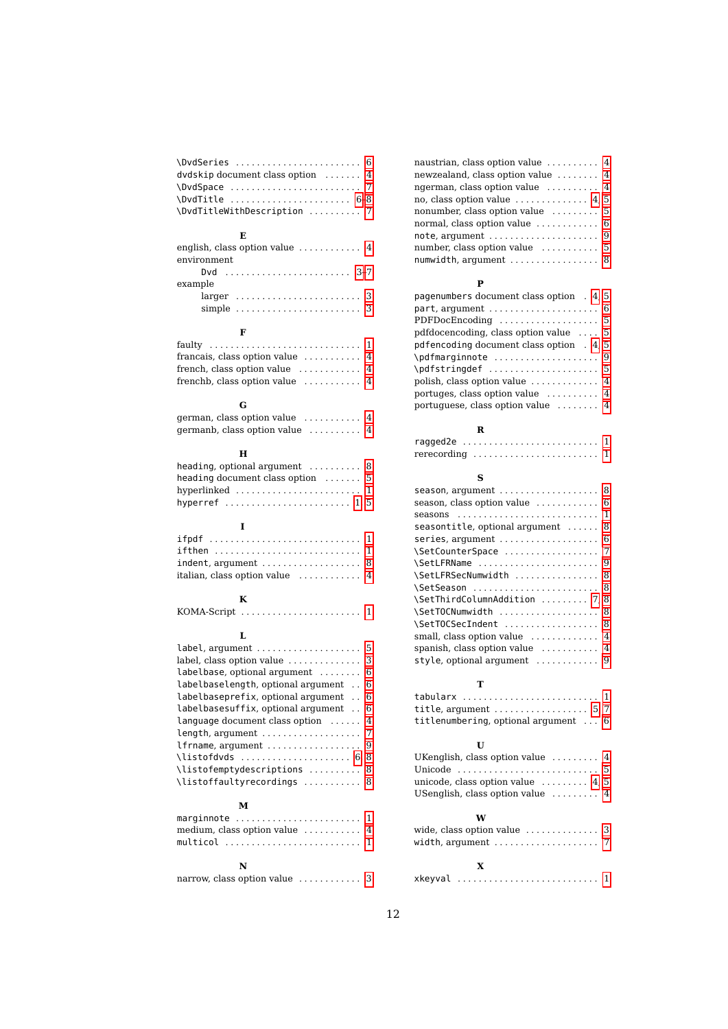| \DvdSeries  6                         |  |
|---------------------------------------|--|
| dvdskip document class option $\dots$ |  |
| \DvdSpace  7                          |  |
| $\N$ udTitle  6-8                     |  |
| \DvdTitleWithDescription  7           |  |

## **E**

| english, class option value $\ldots \ldots \ldots$ 4        |  |
|-------------------------------------------------------------|--|
| environment                                                 |  |
|                                                             |  |
| example                                                     |  |
|                                                             |  |
| simple $\ldots \ldots \ldots \ldots \ldots \ldots \ldots 3$ |  |

#### **F**

| francais, class option value $\dots\dots\dots$ 4    |  |
|-----------------------------------------------------|--|
| french, class option value $\dots\dots\dots\dots$ 4 |  |
| frenchb, class option value $\dots\dots\dots$ 4     |  |

#### **G**

| german, class option value $\dots\dots\dots$ 4  |  |
|-------------------------------------------------|--|
| germanb, class option value $\dots\dots\dots$ 4 |  |

# **H**

| heading, optional argument $\ldots$ ,  8                |  |
|---------------------------------------------------------|--|
| heading document class option $\dots \dots$ 5           |  |
| hyperlinked $\ldots, \ldots, \ldots, \ldots, \ldots, 1$ |  |
| hyperref  1,5                                           |  |

## **I**

| if then $\ldots \ldots \ldots \ldots \ldots \ldots \ldots \ldots$ |  |
|-------------------------------------------------------------------|--|
| $indent$ , argument $\dots\dots\dots\dots\dots\dots$ 8            |  |
| italian, class option value $\dots\dots\dots\dots$ 4              |  |

## **K**

| $KOMA-Script \dots \dots \dots \dots \dots \dots \dots \dots$ |  |  |  |  |  |  |  |  |  |  |  |  |  |  |  |  |  |  |  |  |  |  |  |  |  |
|---------------------------------------------------------------|--|--|--|--|--|--|--|--|--|--|--|--|--|--|--|--|--|--|--|--|--|--|--|--|--|
|---------------------------------------------------------------|--|--|--|--|--|--|--|--|--|--|--|--|--|--|--|--|--|--|--|--|--|--|--|--|--|

# **L**

| $label$ , argument $\ldots \ldots \ldots \ldots \ldots 5$ |  |
|-----------------------------------------------------------|--|
| label, class option value  3                              |  |
| labelbase, optional argument  6                           |  |
| labelbaselength, optional argument 6                      |  |
| labelbaseprefix, optional argument 6                      |  |
| labelbasesuffix, optional argument 6                      |  |
| language document class option  4                         |  |
|                                                           |  |
|                                                           |  |
|                                                           |  |
| \listofemptydescriptions  8                               |  |
| \listoffaultyrecordings  8                                |  |
|                                                           |  |

#### **M**

| marginnote $\ldots \ldots \ldots \ldots \ldots \ldots \ldots 1$ |  |
|-----------------------------------------------------------------|--|
| medium, class option value $\dots\dots\dots$ 4                  |  |
| multicol  1                                                     |  |
| N                                                               |  |

| narrow, class option value  3 |  |  |  |  |  |  |  |  |  |  |  |  |
|-------------------------------|--|--|--|--|--|--|--|--|--|--|--|--|
|-------------------------------|--|--|--|--|--|--|--|--|--|--|--|--|

| naustrian, class option value $\ldots \ldots$ 4       |  |
|-------------------------------------------------------|--|
| newzealand, class option value  4                     |  |
| ngerman, class option value $\dots \dots$ 4           |  |
| no, class option value $\dots \dots \dots \dots$ 4, 5 |  |
| nonumber, class option value  5                       |  |
| normal, class option value $\ldots \ldots \ldots$ 6   |  |
|                                                       |  |
|                                                       |  |
|                                                       |  |

#### **P**

| pagenumbers document class option . 4, 5              |  |  |
|-------------------------------------------------------|--|--|
|                                                       |  |  |
| PDFDocEncoding $\ldots \ldots \ldots \ldots \ldots 5$ |  |  |
| pdfdocencoding, class option value $\ldots$ 5         |  |  |
| pdfencoding document class option . 4, 5              |  |  |
| \pdfmarginnote  9                                     |  |  |
|                                                       |  |  |
| polish, class option value  4                         |  |  |
| portuges, class option value $\dots\dots\dots$ 4      |  |  |
| portuguese, class option value  4                     |  |  |

# **R**

| ragged2e  1 |  |  |  |  |  |  |  |  |  |  |  |  |  |  |
|-------------|--|--|--|--|--|--|--|--|--|--|--|--|--|--|
|             |  |  |  |  |  |  |  |  |  |  |  |  |  |  |

# **S**

| season, argument $\ldots \ldots \ldots \ldots \ldots$ 8 |  |
|---------------------------------------------------------|--|
|                                                         |  |
|                                                         |  |
| seasontitle, optional argument  8                       |  |
|                                                         |  |
| \SetCounterSpace  7                                     |  |
| \SetLFRName  9                                          |  |
| \SetLFRSecNumwidth  8                                   |  |
| \SetSeason  8                                           |  |
| \SetThirdColumnAddition  7, 8                           |  |
| \SetTOCNumwidth  8                                      |  |
| \SetTOCSecIndent  8                                     |  |
| small, class option value  4                            |  |
| spanish, class option value $\dots\dots\dots$ 4         |  |
| style, optional argument  9                             |  |

#### **T**

tabularx ............................. [1](#page-0-0) title, argument . . . . . . . . . . . . . . . . . . [5,](#page-4-4) [7](#page-6-9) titlenumbering, optional argument . . . [6](#page-5-4)

## **U**

| UKenglish, class option value $\dots \dots$ 4   |  |
|-------------------------------------------------|--|
| Unicode  5                                      |  |
| unicode, class option value $\dots \dots$ 4, 5  |  |
| USenglish, class option value $\ldots \ldots$ 4 |  |

# **W**

| wide, class option value $\ldots \ldots \ldots$ 3    |  |
|------------------------------------------------------|--|
| width, argument $\ldots \ldots \ldots \ldots \ldots$ |  |
|                                                      |  |

# **X**

| xkeyval  1 |  |
|------------|--|